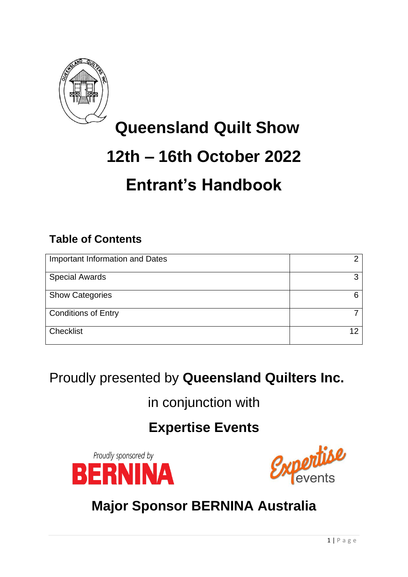

# **Queensland Quilt Show 12th – 16th October 2022 Entrant's Handbook**

## **Table of Contents**

| Important Information and Dates | o  |
|---------------------------------|----|
| <b>Special Awards</b>           | ⌒  |
| <b>Show Categories</b>          |    |
| <b>Conditions of Entry</b>      |    |
| Checklist                       | 12 |

## Proudly presented by **Queensland Quilters Inc.**

in conjunction with

## **Expertise Events**





## **Major Sponsor BERNINA Australia**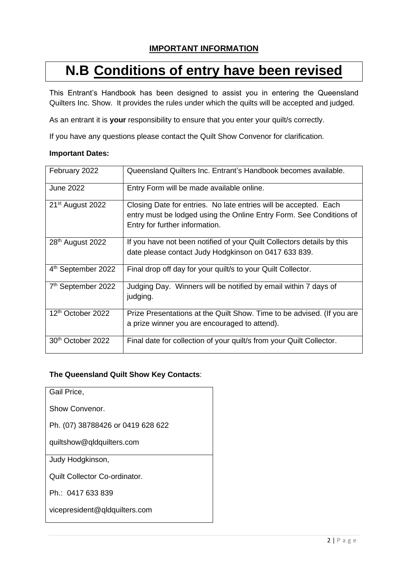### **IMPORTANT INFORMATION**

## **N.B Conditions of entry have been revised**

This Entrant's Handbook has been designed to assist you in entering the Queensland Quilters Inc. Show. It provides the rules under which the quilts will be accepted and judged.

As an entrant it is **your** responsibility to ensure that you enter your quilt/s correctly.

If you have any questions please contact the Quilt Show Convenor for clarification.

#### **Important Dates:**

| February 2022                  | Queensland Quilters Inc. Entrant's Handbook becomes available.                                                                                                            |
|--------------------------------|---------------------------------------------------------------------------------------------------------------------------------------------------------------------------|
| <b>June 2022</b>               | Entry Form will be made available online.                                                                                                                                 |
| 21 <sup>st</sup> August 2022   | Closing Date for entries. No late entries will be accepted. Each<br>entry must be lodged using the Online Entry Form. See Conditions of<br>Entry for further information. |
| 28 <sup>th</sup> August 2022   | If you have not been notified of your Quilt Collectors details by this<br>date please contact Judy Hodgkinson on 0417 633 839.                                            |
| 4 <sup>th</sup> September 2022 | Final drop off day for your quilt/s to your Quilt Collector.                                                                                                              |
| 7th September 2022             | Judging Day. Winners will be notified by email within 7 days of<br>judging.                                                                                               |
| 12 <sup>th</sup> October 2022  | Prize Presentations at the Quilt Show. Time to be advised. (If you are<br>a prize winner you are encouraged to attend).                                                   |
| 30th October 2022              | Final date for collection of your quilt/s from your Quilt Collector.                                                                                                      |

#### **The Queensland Quilt Show Key Contacts**:

Gail Price,

Show Convenor.

Ph. (07) 38788426 or 0419 628 622

quiltshow@qldquilters.com

Judy Hodgkinson,

Quilt Collector Co-ordinator.

Ph.: 0417 633 839

vicepresident@qldquilters.com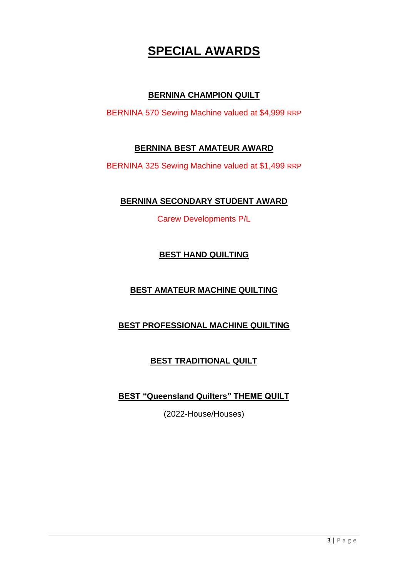## **SPECIAL AWARDS**

### **BERNINA CHAMPION QUILT**

BERNINA 570 Sewing Machine valued at \$4,999 RRP

### **BERNINA BEST AMATEUR AWARD**

BERNINA 325 Sewing Machine valued at \$1,499 RRP

### **BERNINA SECONDARY STUDENT AWARD**

Carew Developments P/L

### **BEST HAND QUILTING**

### **BEST AMATEUR MACHINE QUILTING**

### **BEST PROFESSIONAL MACHINE QUILTING**

### **BEST TRADITIONAL QUILT**

**BEST "Queensland Quilters" THEME QUILT**

(2022-House/Houses)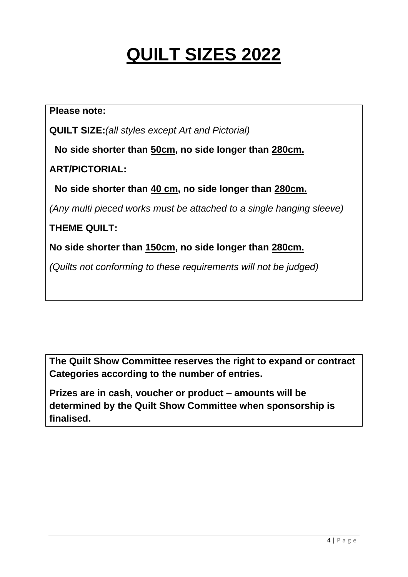# **QUILT SIZES 2022**

**Please note:**

**QUILT SIZE:***(all styles except Art and Pictorial)*

 **No side shorter than 50cm, no side longer than 280cm.**

**ART/PICTORIAL:**

 **No side shorter than 40 cm, no side longer than 280cm.**

*(Any multi pieced works must be attached to a single hanging sleeve)*

**THEME QUILT:**

**No side shorter than 150cm, no side longer than 280cm.**

*(Quilts not conforming to these requirements will not be judged)*

**The Quilt Show Committee reserves the right to expand or contract Categories according to the number of entries.**

**Prizes are in cash, voucher or product – amounts will be determined by the Quilt Show Committee when sponsorship is finalised.**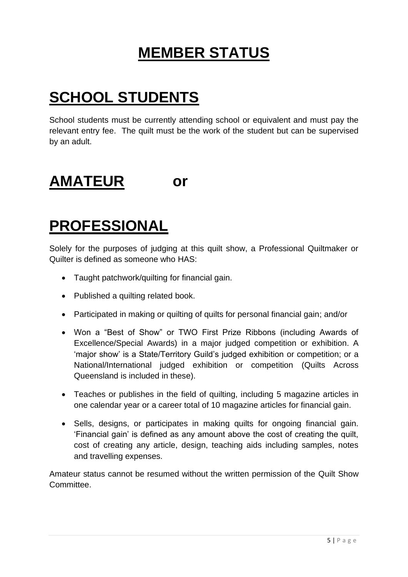# **MEMBER STATUS**

# **SCHOOL STUDENTS**

School students must be currently attending school or equivalent and must pay the relevant entry fee. The quilt must be the work of the student but can be supervised by an adult.

## **AMATEUR or**

# **PROFESSIONAL**

Solely for the purposes of judging at this quilt show, a Professional Quiltmaker or Quilter is defined as someone who HAS:

- Taught patchwork/quilting for financial gain.
- Published a quilting related book.
- Participated in making or quilting of quilts for personal financial gain; and/or
- Won a "Best of Show" or TWO First Prize Ribbons (including Awards of Excellence/Special Awards) in a major judged competition or exhibition. A 'major show' is a State/Territory Guild's judged exhibition or competition; or a National/International judged exhibition or competition (Quilts Across Queensland is included in these).
- Teaches or publishes in the field of quilting, including 5 magazine articles in one calendar year or a career total of 10 magazine articles for financial gain.
- Sells, designs, or participates in making quilts for ongoing financial gain. 'Financial gain' is defined as any amount above the cost of creating the quilt, cost of creating any article, design, teaching aids including samples, notes and travelling expenses.

Amateur status cannot be resumed without the written permission of the Quilt Show Committee.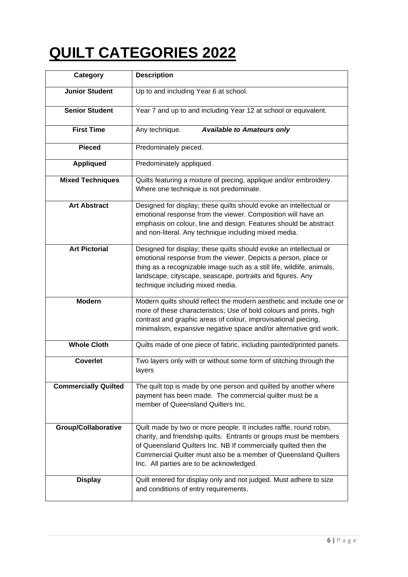# **QUILT CATEGORIES 2022**

| Category                    | <b>Description</b>                                                                                                                                                                                                                                                                                                         |
|-----------------------------|----------------------------------------------------------------------------------------------------------------------------------------------------------------------------------------------------------------------------------------------------------------------------------------------------------------------------|
| <b>Junior Student</b>       | Up to and including Year 6 at school.                                                                                                                                                                                                                                                                                      |
| <b>Senior Student</b>       | Year 7 and up to and including Year 12 at school or equivalent.                                                                                                                                                                                                                                                            |
| <b>First Time</b>           | <b>Available to Amateurs only</b><br>Any technique.                                                                                                                                                                                                                                                                        |
| <b>Pieced</b>               | Predominately pieced.                                                                                                                                                                                                                                                                                                      |
| <b>Appliqued</b>            | Predominately appliqued.                                                                                                                                                                                                                                                                                                   |
| <b>Mixed Techniques</b>     | Quilts featuring a mixture of piecing, applique and/or embroidery.<br>Where one technique is not predominate.                                                                                                                                                                                                              |
| <b>Art Abstract</b>         | Designed for display; these quilts should evoke an intellectual or<br>emotional response from the viewer. Composition will have an<br>emphasis on colour, line and design. Features should be abstract<br>and non-literal. Any technique including mixed media.                                                            |
| <b>Art Pictorial</b>        | Designed for display; these quilts should evoke an intellectual or<br>emotional response from the viewer. Depicts a person, place or<br>thing as a recognizable image such as a still life, wildlife, animals,<br>landscape, cityscape, seascape, portraits and figures. Any<br>technique including mixed media.           |
| <b>Modern</b>               | Modern quilts should reflect the modern aesthetic and include one or<br>more of these characteristics; Use of bold colours and prints, high<br>contrast and graphic areas of colour, improvisational piecing,<br>minimalism, expansive negative space and/or alternative grid work.                                        |
| <b>Whole Cloth</b>          | Quilts made of one piece of fabric, including painted/printed panels.                                                                                                                                                                                                                                                      |
| <b>Coverlet</b>             | Two layers only with or without some form of stitching through the<br>layers                                                                                                                                                                                                                                               |
| <b>Commercially Quilted</b> | The quilt top is made by one person and quilted by another where<br>payment has been made. The commercial quilter must be a<br>member of Queensland Quilters Inc.                                                                                                                                                          |
| <b>Group/Collaborative</b>  | Quilt made by two or more people. It includes raffle, round robin,<br>charity, and friendship quilts. Entrants or groups must be members<br>of Queensland Quilters Inc. NB If commercially quilted then the<br>Commercial Quilter must also be a member of Queensland Quilters<br>Inc. All parties are to be acknowledged. |
| <b>Display</b>              | Quilt entered for display only and not judged. Must adhere to size<br>and conditions of entry requirements.                                                                                                                                                                                                                |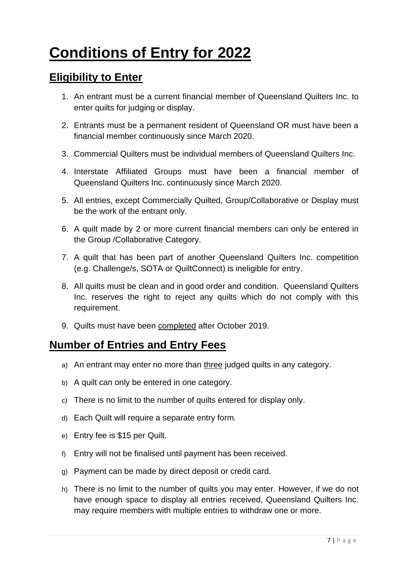# **Conditions of Entry for 2022**

### **Eligibility to Enter**

- 1. An entrant must be a current financial member of Queensland Quilters Inc. to enter quilts for judging or display.
- 2. Entrants must be a permanent resident of Queensland OR must have been a financial member continuously since March 2020.
- 3. Commercial Quilters must be individual members of Queensland Quilters Inc.
- 4. Interstate Affiliated Groups must have been a financial member of Queensland Quilters Inc. continuously since March 2020.
- 5. All entries, except Commercially Quilted, Group/Collaborative or Display must be the work of the entrant only.
- 6. A quilt made by 2 or more current financial members can only be entered in the Group /Collaborative Category.
- 7. A quilt that has been part of another Queensland Quilters Inc. competition (e.g. Challenge/s, SOTA or QuiltConnect) is ineligible for entry.
- 8. All quilts must be clean and in good order and condition. Queensland Quilters Inc. reserves the right to reject any quilts which do not comply with this requirement.
- 9. Quilts must have been completed after October 2019.

### **Number of Entries and Entry Fees**

- a) An entrant may enter no more than three judged quilts in any category.
- b) A quilt can only be entered in one category.
- c) There is no limit to the number of quilts entered for display only.
- d) Each Quilt will require a separate entry form.
- e) Entry fee is \$15 per Quilt.
- f) Entry will not be finalised until payment has been received.
- g) Payment can be made by direct deposit or credit card.
- h) There is no limit to the number of quilts you may enter. However, if we do not have enough space to display all entries received, Queensland Quilters Inc. may require members with multiple entries to withdraw one or more.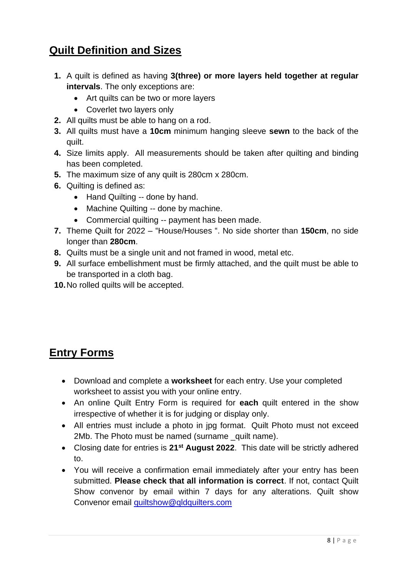## **Quilt Definition and Sizes**

- **1.** A quilt is defined as having **3(three) or more layers held together at regular intervals**. The only exceptions are:
	- Art quilts can be two or more layers
	- Coverlet two layers only
- **2.** All quilts must be able to hang on a rod.
- **3.** All quilts must have a **10cm** minimum hanging sleeve **sewn** to the back of the quilt.
- **4.** Size limits apply. All measurements should be taken after quilting and binding has been completed.
- **5.** The maximum size of any quilt is 280cm x 280cm.
- **6.** Quilting is defined as:
	- Hand Quilting -- done by hand.
	- Machine Quilting -- done by machine.
	- Commercial quilting -- payment has been made.
- **7.** Theme Quilt for 2022 "House/Houses ". No side shorter than **150cm**, no side longer than **280cm**.
- **8.** Quilts must be a single unit and not framed in wood, metal etc.
- **9.** All surface embellishment must be firmly attached, and the quilt must be able to be transported in a cloth bag.
- **10.**No rolled quilts will be accepted.

## **Entry Forms**

- Download and complete a **worksheet** for each entry. Use your completed worksheet to assist you with your online entry.
- An online Quilt Entry Form is required for **each** quilt entered in the show irrespective of whether it is for judging or display only.
- All entries must include a photo in jpg format. Quilt Photo must not exceed 2Mb. The Photo must be named (surname \_quilt name).
- Closing date for entries is 21<sup>st</sup> August 2022. This date will be strictly adhered to.
- You will receive a confirmation email immediately after your entry has been submitted. **Please check that all information is correct**. If not, contact Quilt Show convenor by email within 7 days for any alterations. Quilt show Convenor email [quiltshow@qldquilters.com](mailto:quiltshow@qldquilters.com)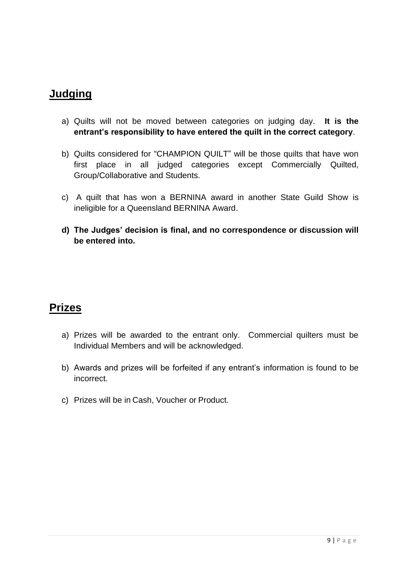### **Judging**

- a) Quilts will not be moved between categories on judging day. **It is the entrant's responsibility to have entered the quilt in the correct category**.
- b) Quilts considered for "CHAMPION QUILT" will be those quilts that have won first place in all judged categories except Commercially Quilted, Group/Collaborative and Students.
- c) A quilt that has won a BERNINA award in another State Guild Show is ineligible for a Queensland BERNINA Award.
- **d) The Judges' decision is final, and no correspondence or discussion will be entered into.**

## **Prizes**

- a) Prizes will be awarded to the entrant only. Commercial quilters must be Individual Members and will be acknowledged.
- b) Awards and prizes will be forfeited if any entrant's information is found to be incorrect.
- c) Prizes will be in Cash, Voucher or Product.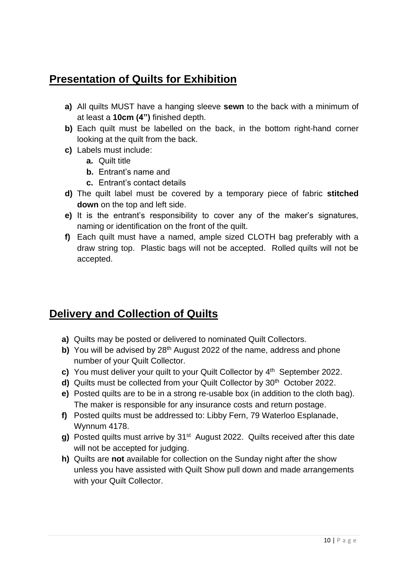## **Presentation of Quilts for Exhibition**

- **a)** All quilts MUST have a hanging sleeve **sewn** to the back with a minimum of at least a **10cm (4")** finished depth.
- **b)** Each quilt must be labelled on the back, in the bottom right-hand corner looking at the quilt from the back.
- **c)** Labels must include:
	- **a.** Quilt title
	- **b.** Entrant's name and
	- **c.** Entrant's contact details
- **d)** The quilt label must be covered by a temporary piece of fabric **stitched down** on the top and left side.
- **e)** It is the entrant's responsibility to cover any of the maker's signatures, naming or identification on the front of the quilt.
- **f)** Each quilt must have a named, ample sized CLOTH bag preferably with a draw string top. Plastic bags will not be accepted. Rolled quilts will not be accepted.

## **Delivery and Collection of Quilts**

- **a)** Quilts may be posted or delivered to nominated Quilt Collectors.
- **b)** You will be advised by 28<sup>th</sup> August 2022 of the name, address and phone number of your Quilt Collector.
- **c)** You must deliver your quilt to your Quilt Collector by 4<sup>th</sup> September 2022.
- d) Quilts must be collected from your Quilt Collector by 30<sup>th</sup> October 2022.
- **e)** Posted quilts are to be in a strong re-usable box (in addition to the cloth bag). The maker is responsible for any insurance costs and return postage.
- **f)** Posted quilts must be addressed to: Libby Fern, 79 Waterloo Esplanade, Wynnum 4178.
- g) Posted quilts must arrive by 31<sup>st</sup> August 2022. Quilts received after this date will not be accepted for judging.
- **h)** Quilts are **not** available for collection on the Sunday night after the show unless you have assisted with Quilt Show pull down and made arrangements with your Quilt Collector.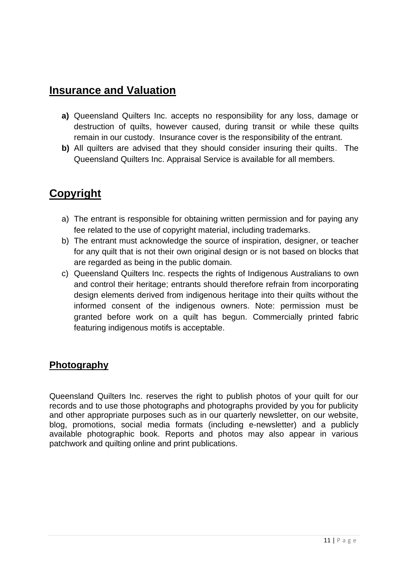### **Insurance and Valuation**

- **a)** Queensland Quilters Inc. accepts no responsibility for any loss, damage or destruction of quilts, however caused, during transit or while these quilts remain in our custody. Insurance cover is the responsibility of the entrant.
- **b)** All quilters are advised that they should consider insuring their quilts. The Queensland Quilters Inc. Appraisal Service is available for all members.

## **Copyright**

- a) The entrant is responsible for obtaining written permission and for paying any fee related to the use of copyright material, including trademarks.
- b) The entrant must acknowledge the source of inspiration, designer, or teacher for any quilt that is not their own original design or is not based on blocks that are regarded as being in the public domain.
- c) Queensland Quilters Inc. respects the rights of Indigenous Australians to own and control their heritage; entrants should therefore refrain from incorporating design elements derived from indigenous heritage into their quilts without the informed consent of the indigenous owners. Note: permission must be granted before work on a quilt has begun. Commercially printed fabric featuring indigenous motifs is acceptable.

### **Photography**

Queensland Quilters Inc. reserves the right to publish photos of your quilt for our records and to use those photographs and photographs provided by you for publicity and other appropriate purposes such as in our quarterly newsletter, on our website, blog, promotions, social media formats (including e-newsletter) and a publicly available photographic book. Reports and photos may also appear in various patchwork and quilting online and print publications.